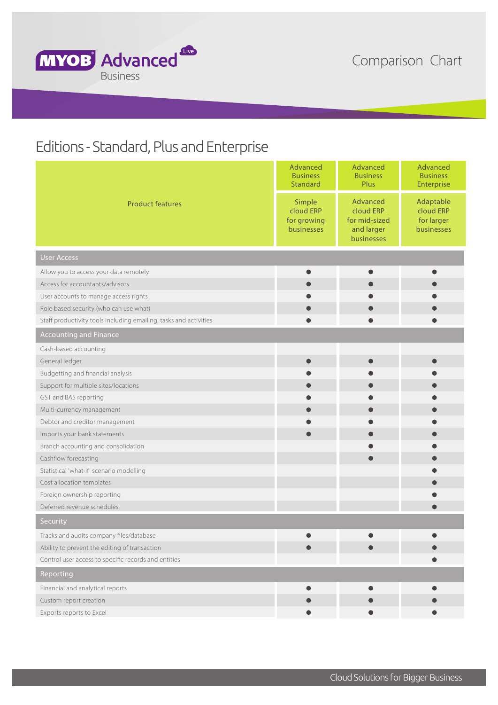

## Editions - Standard, Plus and Enterprise

| <b>Product features</b>                                           | Advanced<br><b>Business</b><br><b>Standard</b>   | Advanced<br><b>Business</b><br>Plus                                | Advanced<br><b>Business</b><br>Enterprise          |
|-------------------------------------------------------------------|--------------------------------------------------|--------------------------------------------------------------------|----------------------------------------------------|
|                                                                   | Simple<br>cloud ERP<br>for growing<br>businesses | Advanced<br>cloud ERP<br>for mid-sized<br>and larger<br>businesses | Adaptable<br>cloud ERP<br>for larger<br>businesses |
| <b>User Access</b>                                                |                                                  |                                                                    |                                                    |
| Allow you to access your data remotely                            |                                                  |                                                                    |                                                    |
| Access for accountants/advisors                                   |                                                  |                                                                    |                                                    |
| User accounts to manage access rights                             |                                                  |                                                                    |                                                    |
| Role based security (who can use what)                            |                                                  |                                                                    |                                                    |
| Staff productivity tools including emailing, tasks and activities |                                                  |                                                                    |                                                    |
| <b>Accounting and Finance</b>                                     |                                                  |                                                                    |                                                    |
| Cash-based accounting                                             |                                                  |                                                                    |                                                    |
| General ledger                                                    | $\bullet$                                        | 0                                                                  | $\bullet$                                          |
| Budgetting and financial analysis                                 |                                                  |                                                                    |                                                    |
| Support for multiple sites/locations                              | $\bullet$                                        |                                                                    |                                                    |
| GST and BAS reporting                                             |                                                  |                                                                    |                                                    |
| Multi-currency management                                         |                                                  |                                                                    |                                                    |
| Debtor and creditor management                                    |                                                  |                                                                    |                                                    |
| Imports your bank statements                                      |                                                  |                                                                    |                                                    |
| Branch accounting and consolidation                               |                                                  |                                                                    |                                                    |
| Cashflow forecasting                                              |                                                  |                                                                    |                                                    |
| Statistical 'what-if' scenario modelling                          |                                                  |                                                                    |                                                    |
| Cost allocation templates                                         |                                                  |                                                                    |                                                    |
| Foreign ownership reporting                                       |                                                  |                                                                    |                                                    |
| Deferred revenue schedules                                        |                                                  |                                                                    |                                                    |
| Security                                                          |                                                  |                                                                    |                                                    |
| Tracks and audits company files/database                          |                                                  |                                                                    |                                                    |
| Ability to prevent the editing of transaction                     |                                                  |                                                                    |                                                    |
| Control user access to specific records and entities              |                                                  |                                                                    |                                                    |
| Reporting                                                         |                                                  |                                                                    |                                                    |
| Financial and analytical reports                                  |                                                  |                                                                    |                                                    |
| Custom report creation                                            |                                                  |                                                                    |                                                    |
| Exports reports to Excel                                          |                                                  |                                                                    |                                                    |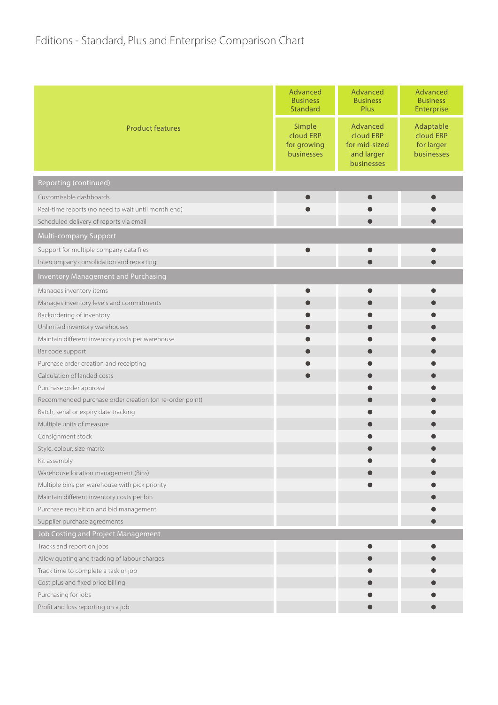## Editions - Standard, Plus and Enterprise Comparison Chart

| Advanced<br>Simple<br>Adaptable<br><b>Product features</b><br>cloud ERP<br>cloud ERP<br>cloud ERP<br>for mid-sized<br>for larger<br>for growing<br>and larger<br>businesses<br>businesses<br>businesses<br>Reporting (continued)<br>Customisable dashboards<br>Real-time reports (no need to wait until month end)<br>Scheduled delivery of reports via email<br>Multi-company Support<br>Support for multiple company data files<br>Intercompany consolidation and reporting<br><b>Inventory Management and Purchasing</b> |                         | Advanced<br><b>Business</b><br><b>Standard</b> | Advanced<br><b>Business</b><br>Plus | Advanced<br><b>Business</b><br>Enterprise |
|-----------------------------------------------------------------------------------------------------------------------------------------------------------------------------------------------------------------------------------------------------------------------------------------------------------------------------------------------------------------------------------------------------------------------------------------------------------------------------------------------------------------------------|-------------------------|------------------------------------------------|-------------------------------------|-------------------------------------------|
|                                                                                                                                                                                                                                                                                                                                                                                                                                                                                                                             |                         |                                                |                                     |                                           |
|                                                                                                                                                                                                                                                                                                                                                                                                                                                                                                                             |                         |                                                |                                     |                                           |
|                                                                                                                                                                                                                                                                                                                                                                                                                                                                                                                             |                         |                                                |                                     |                                           |
|                                                                                                                                                                                                                                                                                                                                                                                                                                                                                                                             |                         |                                                |                                     |                                           |
|                                                                                                                                                                                                                                                                                                                                                                                                                                                                                                                             |                         |                                                |                                     |                                           |
|                                                                                                                                                                                                                                                                                                                                                                                                                                                                                                                             |                         |                                                |                                     |                                           |
|                                                                                                                                                                                                                                                                                                                                                                                                                                                                                                                             |                         |                                                |                                     |                                           |
|                                                                                                                                                                                                                                                                                                                                                                                                                                                                                                                             |                         |                                                |                                     |                                           |
|                                                                                                                                                                                                                                                                                                                                                                                                                                                                                                                             |                         |                                                |                                     |                                           |
|                                                                                                                                                                                                                                                                                                                                                                                                                                                                                                                             | Manages inventory items |                                                |                                     |                                           |
| Manages inventory levels and commitments                                                                                                                                                                                                                                                                                                                                                                                                                                                                                    |                         |                                                |                                     |                                           |
| Backordering of inventory                                                                                                                                                                                                                                                                                                                                                                                                                                                                                                   |                         |                                                |                                     |                                           |
| Unlimited inventory warehouses                                                                                                                                                                                                                                                                                                                                                                                                                                                                                              |                         |                                                |                                     |                                           |
| Maintain different inventory costs per warehouse                                                                                                                                                                                                                                                                                                                                                                                                                                                                            |                         |                                                |                                     |                                           |
| Bar code support                                                                                                                                                                                                                                                                                                                                                                                                                                                                                                            |                         |                                                |                                     |                                           |
| Purchase order creation and receipting                                                                                                                                                                                                                                                                                                                                                                                                                                                                                      |                         |                                                |                                     |                                           |
| Calculation of landed costs                                                                                                                                                                                                                                                                                                                                                                                                                                                                                                 |                         |                                                |                                     |                                           |
| Purchase order approval                                                                                                                                                                                                                                                                                                                                                                                                                                                                                                     |                         |                                                |                                     |                                           |
| Recommended purchase order creation (on re-order point)                                                                                                                                                                                                                                                                                                                                                                                                                                                                     |                         |                                                |                                     |                                           |
| Batch, serial or expiry date tracking                                                                                                                                                                                                                                                                                                                                                                                                                                                                                       |                         |                                                |                                     |                                           |
| Multiple units of measure                                                                                                                                                                                                                                                                                                                                                                                                                                                                                                   |                         |                                                |                                     |                                           |
| Consignment stock                                                                                                                                                                                                                                                                                                                                                                                                                                                                                                           |                         |                                                |                                     |                                           |
| Style, colour, size matrix                                                                                                                                                                                                                                                                                                                                                                                                                                                                                                  |                         |                                                |                                     |                                           |
| Kit assembly                                                                                                                                                                                                                                                                                                                                                                                                                                                                                                                |                         |                                                |                                     |                                           |
| Warehouse location management (Bins)                                                                                                                                                                                                                                                                                                                                                                                                                                                                                        |                         |                                                |                                     |                                           |
| Multiple bins per warehouse with pick priority                                                                                                                                                                                                                                                                                                                                                                                                                                                                              |                         |                                                |                                     |                                           |
| Maintain different inventory costs per bin                                                                                                                                                                                                                                                                                                                                                                                                                                                                                  |                         |                                                |                                     |                                           |
| Purchase requisition and bid management                                                                                                                                                                                                                                                                                                                                                                                                                                                                                     |                         |                                                |                                     |                                           |
| Supplier purchase agreements                                                                                                                                                                                                                                                                                                                                                                                                                                                                                                |                         |                                                |                                     |                                           |
| Job Costing and Project Management                                                                                                                                                                                                                                                                                                                                                                                                                                                                                          |                         |                                                |                                     |                                           |
| Tracks and report on jobs                                                                                                                                                                                                                                                                                                                                                                                                                                                                                                   |                         |                                                |                                     |                                           |
| Allow quoting and tracking of labour charges                                                                                                                                                                                                                                                                                                                                                                                                                                                                                |                         |                                                |                                     |                                           |
| Track time to complete a task or job                                                                                                                                                                                                                                                                                                                                                                                                                                                                                        |                         |                                                |                                     |                                           |
| Cost plus and fixed price billing<br>Purchasing for jobs                                                                                                                                                                                                                                                                                                                                                                                                                                                                    |                         |                                                |                                     |                                           |
| Profit and loss reporting on a job                                                                                                                                                                                                                                                                                                                                                                                                                                                                                          |                         |                                                |                                     |                                           |